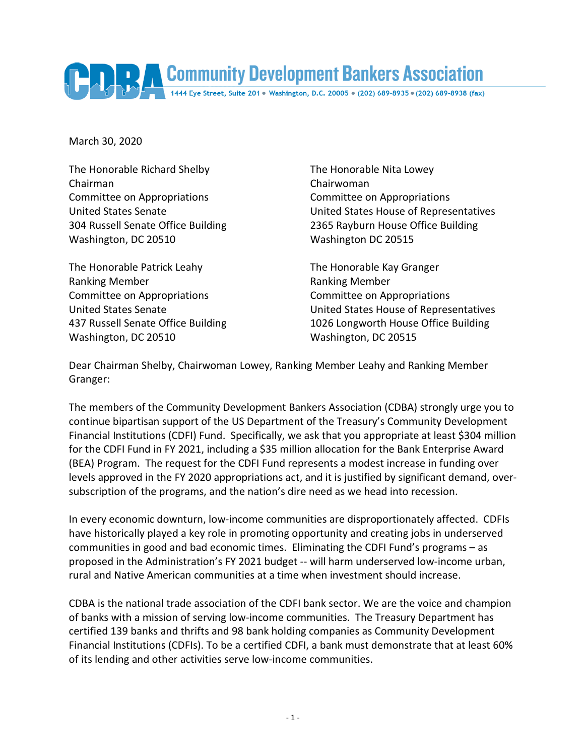Community Development Bankers Association

March 30, 2020

The Honorable Richard Shelby The Honorable Nita Lowey Chairman Chairwoman Committee on Appropriations Committee on Appropriations Washington, DC 20510 Washington DC 20515

The Honorable Patrick Leahy The Honorable Kay Granger Ranking Member **Ranking Member** Ranking Member Committee on Appropriations Committee on Appropriations Washington, DC 20510 Washington, DC 20515

United States Senate United States House of Representatives 304 Russell Senate Office Building 2365 Rayburn House Office Building

United States Senate United States House of Representatives 437 Russell Senate Office Building 1026 Longworth House Office Building

Dear Chairman Shelby, Chairwoman Lowey, Ranking Member Leahy and Ranking Member Granger:

The members of the Community Development Bankers Association (CDBA) strongly urge you to continue bipartisan support of the US Department of the Treasury's Community Development Financial Institutions (CDFI) Fund. Specifically, we ask that you appropriate at least \$304 million for the CDFI Fund in FY 2021, including a \$35 million allocation for the Bank Enterprise Award (BEA) Program. The request for the CDFI Fund represents a modest increase in funding over levels approved in the FY 2020 appropriations act, and it is justified by significant demand, oversubscription of the programs, and the nation's dire need as we head into recession.

In every economic downturn, low-income communities are disproportionately affected. CDFIs have historically played a key role in promoting opportunity and creating jobs in underserved communities in good and bad economic times. Eliminating the CDFI Fund's programs – as proposed in the Administration's FY 2021 budget -- will harm underserved low-income urban, rural and Native American communities at a time when investment should increase.

CDBA is the national trade association of the CDFI bank sector. We are the voice and champion of banks with a mission of serving low-income communities. The Treasury Department has certified 139 banks and thrifts and 98 bank holding companies as Community Development Financial Institutions (CDFIs). To be a certified CDFI, a bank must demonstrate that at least 60% of its lending and other activities serve low-income communities.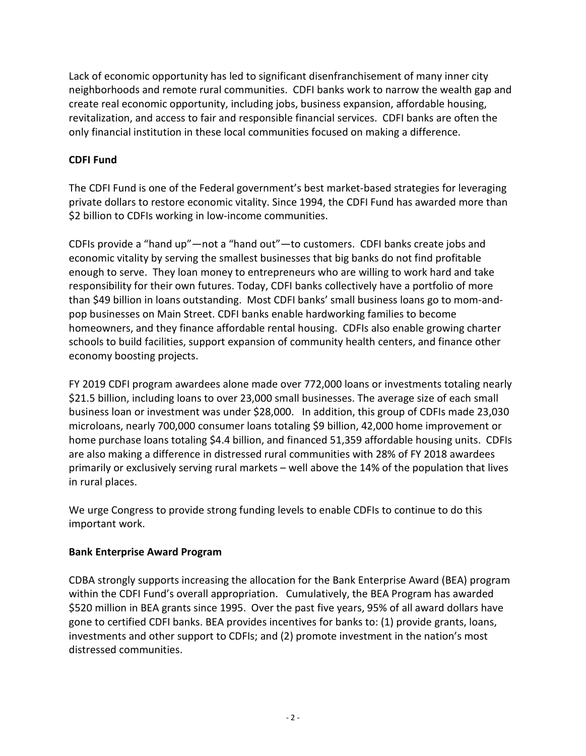Lack of economic opportunity has led to significant disenfranchisement of many inner city neighborhoods and remote rural communities. CDFI banks work to narrow the wealth gap and create real economic opportunity, including jobs, business expansion, affordable housing, revitalization, and access to fair and responsible financial services. CDFI banks are often the only financial institution in these local communities focused on making a difference.

## **CDFI Fund**

The CDFI Fund is one of the Federal government's best market-based strategies for leveraging private dollars to restore economic vitality. Since 1994, the CDFI Fund has awarded more than \$2 billion to CDFIs working in low-income communities.

CDFIs provide a "hand up"—not a "hand out"—to customers. CDFI banks create jobs and economic vitality by serving the smallest businesses that big banks do not find profitable enough to serve. They loan money to entrepreneurs who are willing to work hard and take responsibility for their own futures. Today, CDFI banks collectively have a portfolio of more than \$49 billion in loans outstanding. Most CDFI banks' small business loans go to mom-andpop businesses on Main Street. CDFI banks enable hardworking families to become homeowners, and they finance affordable rental housing. CDFIs also enable growing charter schools to build facilities, support expansion of community health centers, and finance other economy boosting projects.

FY 2019 CDFI program awardees alone made over 772,000 loans or investments totaling nearly \$21.5 billion, including loans to over 23,000 small businesses. The average size of each small business loan or investment was under \$28,000. In addition, this group of CDFIs made 23,030 microloans, nearly 700,000 consumer loans totaling \$9 billion, 42,000 home improvement or home purchase loans totaling \$4.4 billion, and financed 51,359 affordable housing units. CDFIs are also making a difference in distressed rural communities with 28% of FY 2018 awardees primarily or exclusively serving rural markets – well above the 14% of the population that lives in rural places.

We urge Congress to provide strong funding levels to enable CDFIs to continue to do this important work.

## **Bank Enterprise Award Program**

CDBA strongly supports increasing the allocation for the Bank Enterprise Award (BEA) program within the CDFI Fund's overall appropriation. Cumulatively, the BEA Program has awarded \$520 million in BEA grants since 1995. Over the past five years, 95% of all award dollars have gone to certified CDFI banks. BEA provides incentives for banks to: (1) provide grants, loans, investments and other support to CDFIs; and (2) promote investment in the nation's most distressed communities.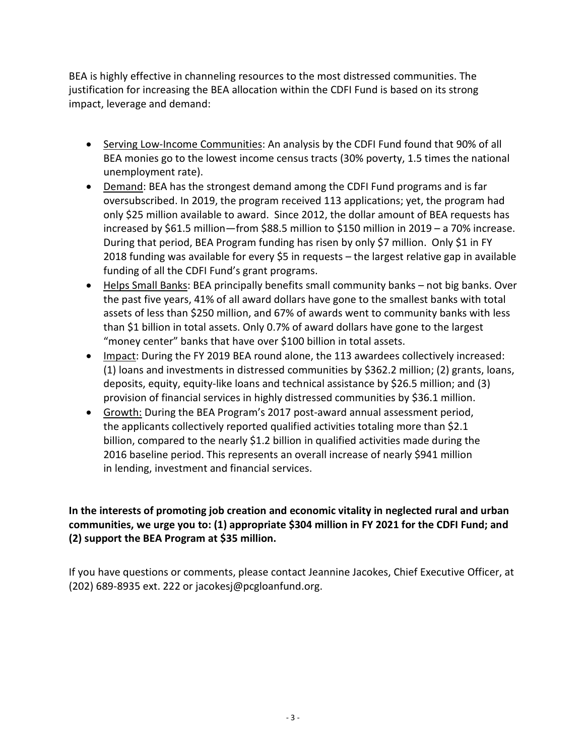BEA is highly effective in channeling resources to the most distressed communities. The justification for increasing the BEA allocation within the CDFI Fund is based on its strong impact, leverage and demand:

- Serving Low-Income Communities: An analysis by the CDFI Fund found that 90% of all BEA monies go to the lowest income census tracts (30% poverty, 1.5 times the national unemployment rate).
- Demand: BEA has the strongest demand among the CDFI Fund programs and is far oversubscribed. In 2019, the program received 113 applications; yet, the program had only \$25 million available to award. Since 2012, the dollar amount of BEA requests has increased by \$61.5 million—from \$88.5 million to \$150 million in 2019 – a 70% increase. During that period, BEA Program funding has risen by only \$7 million. Only \$1 in FY 2018 funding was available for every \$5 in requests – the largest relative gap in available funding of all the CDFI Fund's grant programs.
- Helps Small Banks: BEA principally benefits small community banks not big banks. Over the past five years, 41% of all award dollars have gone to the smallest banks with total assets of less than \$250 million, and 67% of awards went to community banks with less than \$1 billion in total assets. Only 0.7% of award dollars have gone to the largest "money center" banks that have over \$100 billion in total assets.
- Impact: During the FY 2019 BEA round alone, the 113 awardees collectively increased: (1) loans and investments in distressed communities by \$362.2 million; (2) grants, loans, deposits, equity, equity-like loans and technical assistance by \$26.5 million; and (3) provision of financial services in highly distressed communities by \$36.1 million.
- Growth: During the BEA Program's 2017 post-award annual assessment period, the applicants collectively reported qualified activities totaling more than \$2.1 billion, compared to the nearly \$1.2 billion in qualified activities made during the 2016 baseline period. This represents an overall increase of nearly \$941 million in lending, investment and financial services.

**In the interests of promoting job creation and economic vitality in neglected rural and urban communities, we urge you to: (1) appropriate \$304 million in FY 2021 for the CDFI Fund; and (2) support the BEA Program at \$35 million.** 

If you have questions or comments, please contact Jeannine Jacokes, Chief Executive Officer, at (202) 689-8935 ext. 222 or jacokesj@pcgloanfund.org.